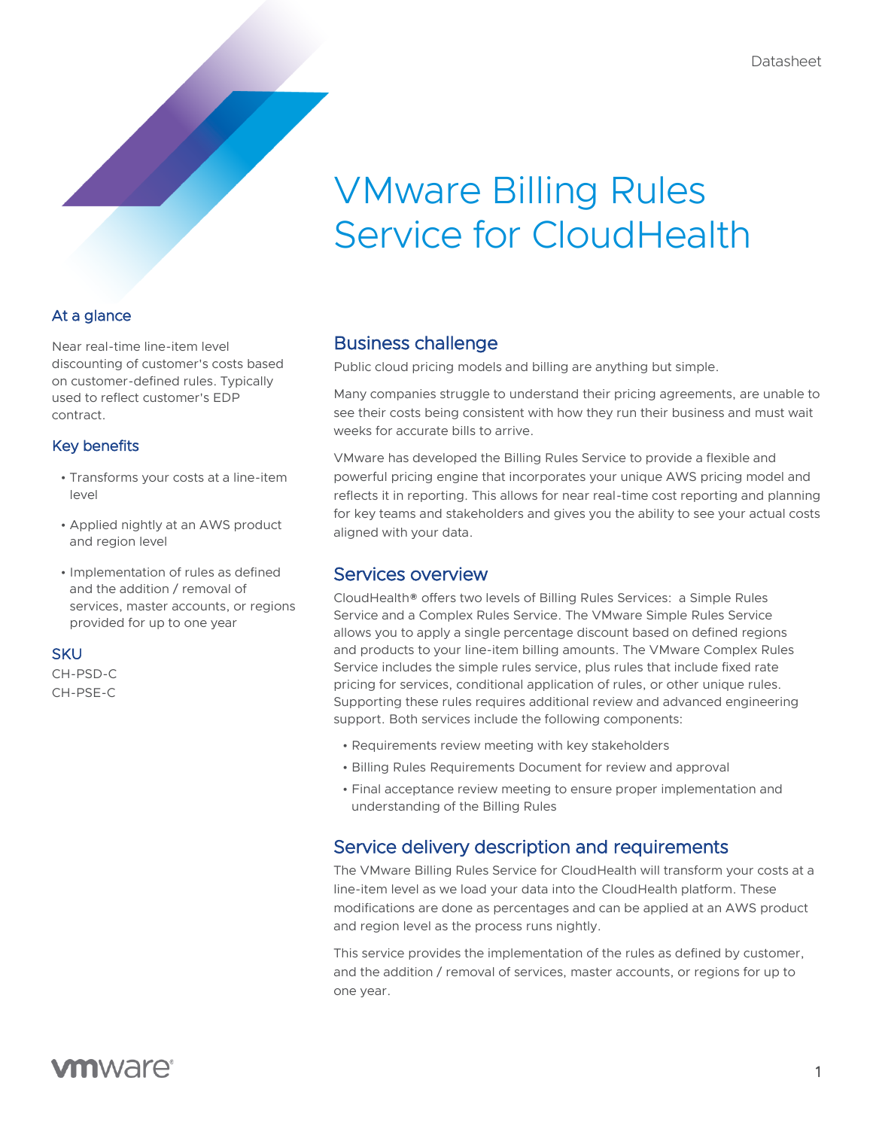# VMware Billing Rules Service for CloudHealth

## At a glance

Near real-time line-item level discounting of customer's costs based on customer-defined rules. Typically used to reflect customer's EDP contract.

#### Key benefits

- Transforms your costs at a line-item level
- Applied nightly at an AWS product and region level
- Implementation of rules as defined and the addition / removal of services, master accounts, or regions provided for up to one year

#### **SKU**

CH-PSD-C CH-PSE-C

# Business challenge

Public cloud pricing models and billing are anything but simple.

Many companies struggle to understand their pricing agreements, are unable to see their costs being consistent with how they run their business and must wait weeks for accurate bills to arrive.

VMware has developed the Billing Rules Service to provide a flexible and powerful pricing engine that incorporates your unique AWS pricing model and reflects it in reporting. This allows for near real-time cost reporting and planning for key teams and stakeholders and gives you the ability to see your actual costs aligned with your data.

# Services overview

CloudHealth® offers two levels of Billing Rules Services: a Simple Rules Service and a Complex Rules Service. The VMware Simple Rules Service allows you to apply a single percentage discount based on defined regions and products to your line-item billing amounts. The VMware Complex Rules Service includes the simple rules service, plus rules that include fixed rate pricing for services, conditional application of rules, or other unique rules. Supporting these rules requires additional review and advanced engineering support. Both services include the following components:

- Requirements review meeting with key stakeholders
- Billing Rules Requirements Document for review and approval
- Final acceptance review meeting to ensure proper implementation and understanding of the Billing Rules

# Service delivery description and requirements

The VMware Billing Rules Service for CloudHealth will transform your costs at a line-item level as we load your data into the CloudHealth platform. These modifications are done as percentages and can be applied at an AWS product and region level as the process runs nightly.

This service provides the implementation of the rules as defined by customer, and the addition / removal of services, master accounts, or regions for up to one year.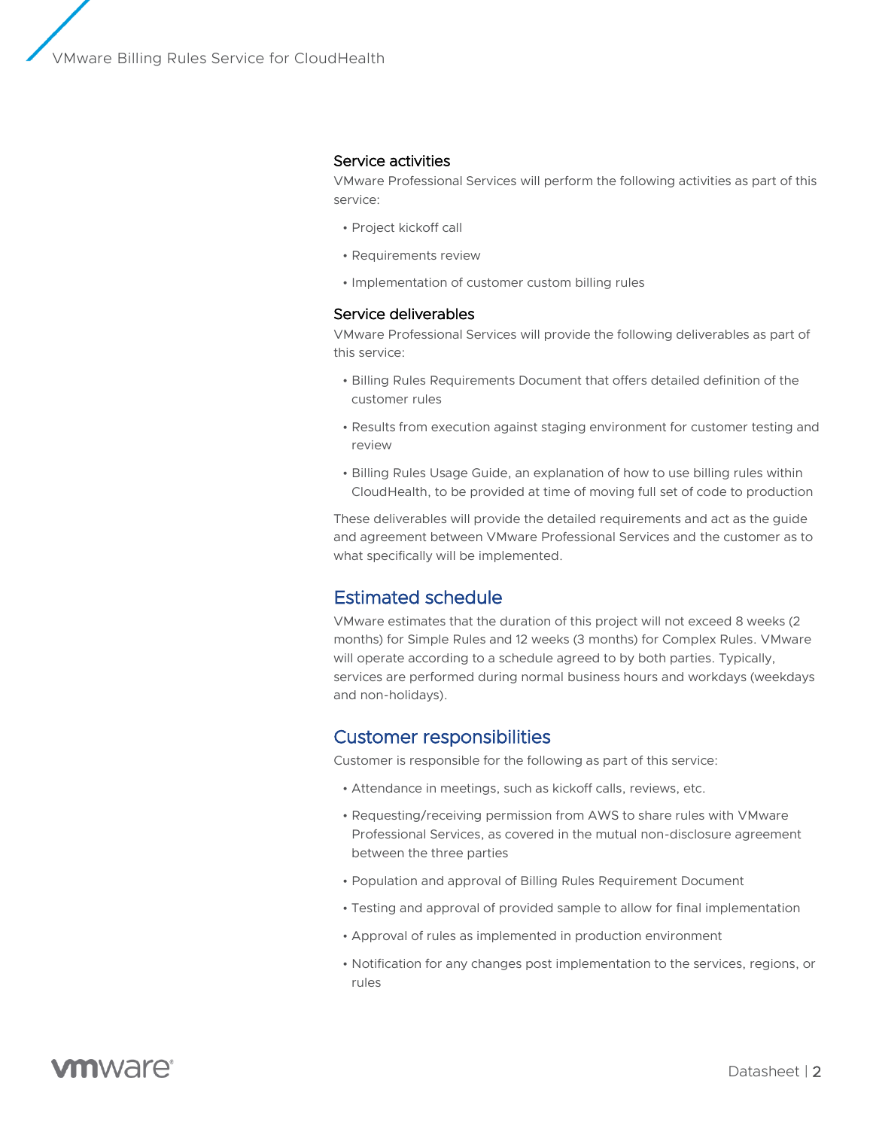VMware Billing Rules Service for CloudHealth

#### Service activities

VMware Professional Services will perform the following activities as part of this service:

- Project kickoff call
- Requirements review
- Implementation of customer custom billing rules

#### Service deliverables

VMware Professional Services will provide the following deliverables as part of this service:

- Billing Rules Requirements Document that offers detailed definition of the customer rules
- Results from execution against staging environment for customer testing and review
- Billing Rules Usage Guide, an explanation of how to use billing rules within CloudHealth, to be provided at time of moving full set of code to production

These deliverables will provide the detailed requirements and act as the guide and agreement between VMware Professional Services and the customer as to what specifically will be implemented.

# Estimated schedule

VMware estimates that the duration of this project will not exceed 8 weeks (2 months) for Simple Rules and 12 weeks (3 months) for Complex Rules. VMware will operate according to a schedule agreed to by both parties. Typically, services are performed during normal business hours and workdays (weekdays and non-holidays).

#### Customer responsibilities

Customer is responsible for the following as part of this service:

- Attendance in meetings, such as kickoff calls, reviews, etc.
- Requesting/receiving permission from AWS to share rules with VMware Professional Services, as covered in the mutual non-disclosure agreement between the three parties
- Population and approval of Billing Rules Requirement Document
- Testing and approval of provided sample to allow for final implementation
- Approval of rules as implemented in production environment
- Notification for any changes post implementation to the services, regions, or rules

# **vm**ware<sup>®</sup>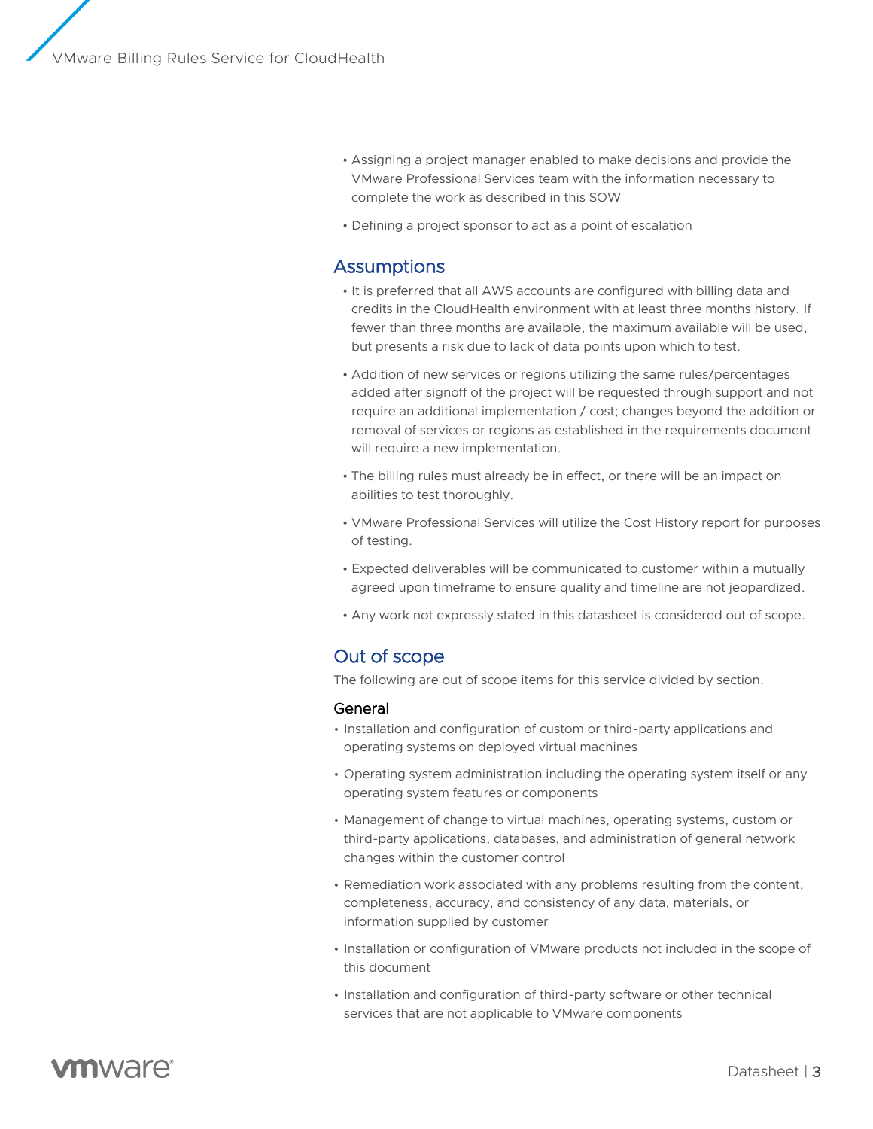- Assigning a project manager enabled to make decisions and provide the VMware Professional Services team with the information necessary to complete the work as described in this SOW
- Defining a project sponsor to act as a point of escalation

## **Assumptions**

- It is preferred that all AWS accounts are configured with billing data and credits in the CloudHealth environment with at least three months history. If fewer than three months are available, the maximum available will be used, but presents a risk due to lack of data points upon which to test.
- Addition of new services or regions utilizing the same rules/percentages added after signoff of the project will be requested through support and not require an additional implementation / cost; changes beyond the addition or removal of services or regions as established in the requirements document will require a new implementation.
- The billing rules must already be in effect, or there will be an impact on abilities to test thoroughly.
- VMware Professional Services will utilize the Cost History report for purposes of testing.
- Expected deliverables will be communicated to customer within a mutually agreed upon timeframe to ensure quality and timeline are not jeopardized.
- Any work not expressly stated in this datasheet is considered out of scope.

#### Out of scope

The following are out of scope items for this service divided by section.

#### General

- Installation and configuration of custom or third-party applications and operating systems on deployed virtual machines
- Operating system administration including the operating system itself or any operating system features or components
- Management of change to virtual machines, operating systems, custom or third-party applications, databases, and administration of general network changes within the customer control
- Remediation work associated with any problems resulting from the content, completeness, accuracy, and consistency of any data, materials, or information supplied by customer
- Installation or configuration of VMware products not included in the scope of this document
- Installation and configuration of third-party software or other technical services that are not applicable to VMware components

# **vm**ware<sup>®</sup>